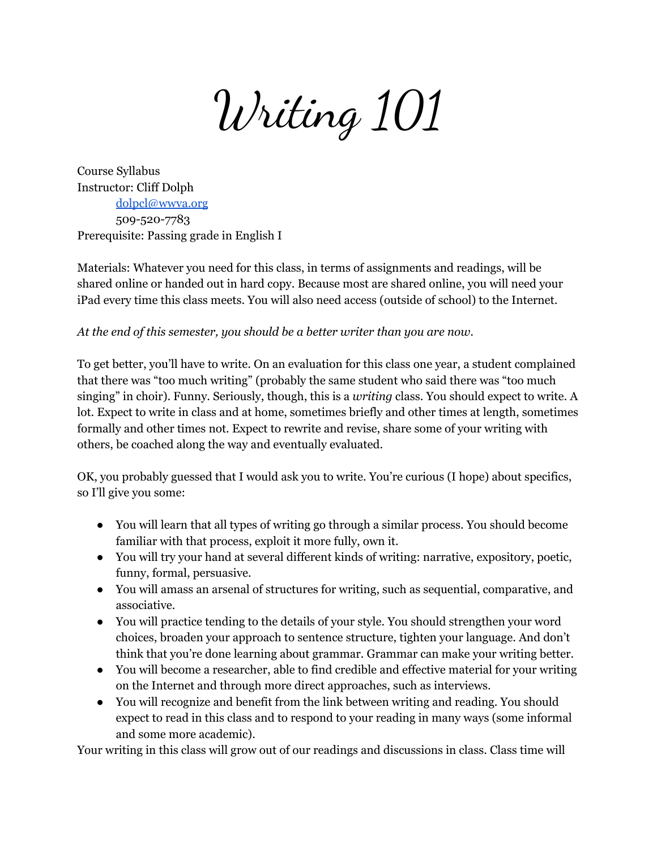Writing 101

Course Syllabus Instructor: Cliff Dolph [dolpcl@wwva.org](mailto:dolpcl@wwva.org) 509-520-7783 Prerequisite: Passing grade in English I

Materials: Whatever you need for this class, in terms of assignments and readings, will be shared online or handed out in hard copy. Because most are shared online, you will need your iPad every time this class meets. You will also need access (outside of school) to the Internet.

*At the end of this semester, you should be a better writer than you are now.*

To get better, you'll have to write. On an evaluation for this class one year, a student complained that there was "too much writing" (probably the same student who said there was "too much singing" in choir). Funny. Seriously, though, this is a *writing* class. You should expect to write. A lot. Expect to write in class and at home, sometimes briefly and other times at length, sometimes formally and other times not. Expect to rewrite and revise, share some of your writing with others, be coached along the way and eventually evaluated.

OK, you probably guessed that I would ask you to write. You're curious (I hope) about specifics, so I'll give you some:

- You will learn that all types of writing go through a similar process. You should become familiar with that process, exploit it more fully, own it.
- You will try your hand at several different kinds of writing: narrative, expository, poetic, funny, formal, persuasive.
- You will amass an arsenal of structures for writing, such as sequential, comparative, and associative.
- You will practice tending to the details of your style. You should strengthen your word choices, broaden your approach to sentence structure, tighten your language. And don't think that you're done learning about grammar. Grammar can make your writing better.
- You will become a researcher, able to find credible and effective material for your writing on the Internet and through more direct approaches, such as interviews.
- You will recognize and benefit from the link between writing and reading. You should expect to read in this class and to respond to your reading in many ways (some informal and some more academic).

Your writing in this class will grow out of our readings and discussions in class. Class time will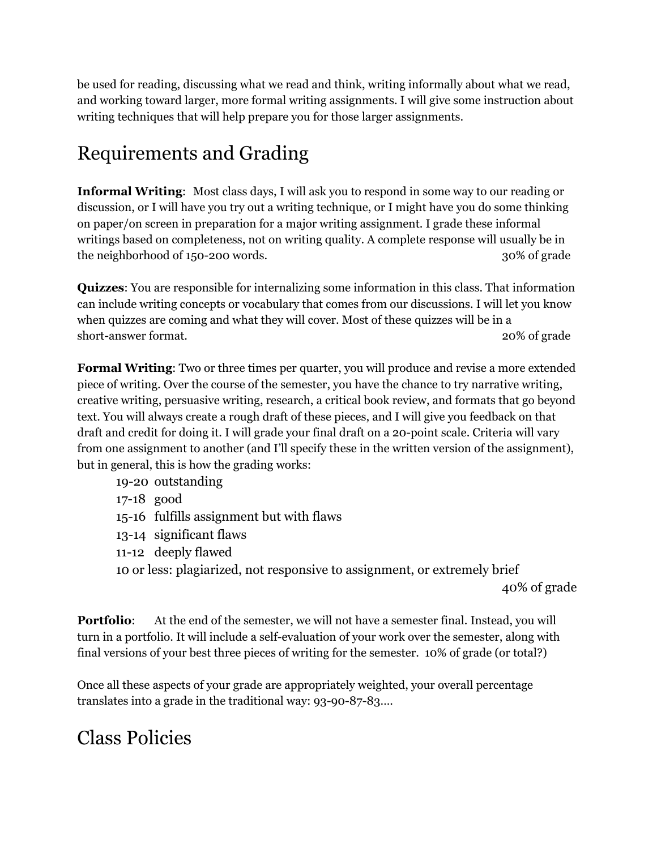be used for reading, discussing what we read and think, writing informally about what we read, and working toward larger, more formal writing assignments. I will give some instruction about writing techniques that will help prepare you for those larger assignments.

## Requirements and Grading

**Informal Writing**: Most class days, I will ask you to respond in some way to our reading or discussion, or I will have you try out a writing technique, or I might have you do some thinking on paper/on screen in preparation for a major writing assignment. I grade these informal writings based on completeness, not on writing quality. A complete response will usually be in the neighborhood of 150-200 words. 30% of grade

**Quizzes**: You are responsible for internalizing some information in this class. That information can include writing concepts or vocabulary that comes from our discussions. I will let you know when quizzes are coming and what they will cover. Most of these quizzes will be in a short-answer format. 20% of grade

**Formal Writing**: Two or three times per quarter, you will produce and revise a more extended piece of writing. Over the course of the semester, you have the chance to try narrative writing, creative writing, persuasive writing, research, a critical book review, and formats that go beyond text. You will always create a rough draft of these pieces, and I will give you feedback on that draft and credit for doing it. I will grade your final draft on a 20-point scale. Criteria will vary from one assignment to another (and I'll specify these in the written version of the assignment), but in general, this is how the grading works:

- 19-20 outstanding
- 17-18 good
- 15-16 fulfills assignment but with flaws
- 13-14 significant flaws
- 11-12 deeply flawed
- 10 or less: plagiarized, not responsive to assignment, or extremely brief

40% of grade

**Portfolio**: At the end of the semester, we will not have a semester final. Instead, you will turn in a portfolio. It will include a self-evaluation of your work over the semester, along with final versions of your best three pieces of writing for the semester. 10% of grade (or total?)

Once all these aspects of your grade are appropriately weighted, your overall percentage translates into a grade in the traditional way: 93-90-87-83….

## Class Policies